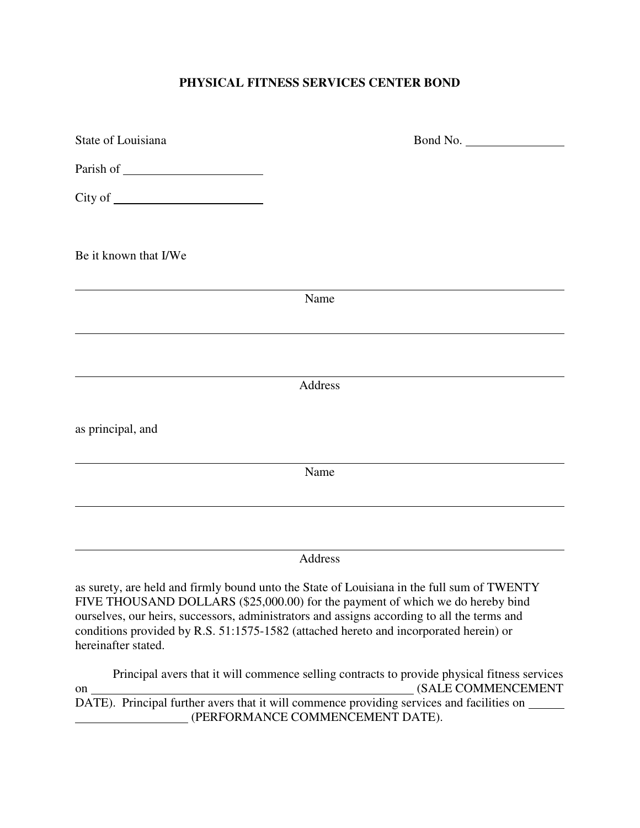## **PHYSICAL FITNESS SERVICES CENTER BOND**

| State of Louisiana    | Bond No.                                                                                                                                                                                                                                                                                                                                                             |
|-----------------------|----------------------------------------------------------------------------------------------------------------------------------------------------------------------------------------------------------------------------------------------------------------------------------------------------------------------------------------------------------------------|
|                       |                                                                                                                                                                                                                                                                                                                                                                      |
|                       |                                                                                                                                                                                                                                                                                                                                                                      |
| Be it known that I/We |                                                                                                                                                                                                                                                                                                                                                                      |
|                       | Name                                                                                                                                                                                                                                                                                                                                                                 |
|                       |                                                                                                                                                                                                                                                                                                                                                                      |
|                       | Address                                                                                                                                                                                                                                                                                                                                                              |
| as principal, and     |                                                                                                                                                                                                                                                                                                                                                                      |
|                       | Name                                                                                                                                                                                                                                                                                                                                                                 |
|                       |                                                                                                                                                                                                                                                                                                                                                                      |
|                       | Address                                                                                                                                                                                                                                                                                                                                                              |
| hereinafter stated.   | as surety, are held and firmly bound unto the State of Louisiana in the full sum of TWENTY<br>FIVE THOUSAND DOLLARS (\$25,000.00) for the payment of which we do hereby bind<br>ourselves, our heirs, successors, administrators and assigns according to all the terms and<br>conditions provided by R.S. 51:1575-1582 (attached hereto and incorporated herein) or |

Principal avers that it will commence selling contracts to provide physical fitness services on (SALE COMMENCEMENT DATE). Principal further avers that it will commence providing services and facilities on (PERFORMANCE COMMENCEMENT DATE).